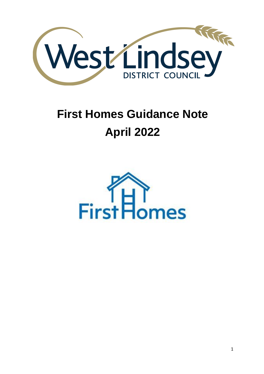

# **First Homes Guidance Note April 2022**

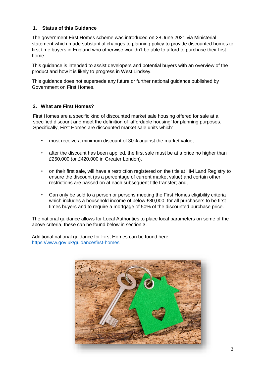#### **1. Status of this Guidance**

The government First Homes scheme was introduced on 28 June 2021 via Ministerial statement which made substantial changes to planning policy to provide discounted homes to first time buyers in England who otherwise wouldn't be able to afford to purchase their first home.

This guidance is intended to assist developers and potential buyers with an overview of the product and how it is likely to progress in West Lindsey.

This guidance does not supersede any future or further national guidance published by Government on First Homes.

#### **2. What are First Homes?**

First Homes are a specific kind of discounted market sale housing offered for sale at a specified discount and meet the definition of 'affordable housing' for planning purposes. Specifically, First Homes are discounted market sale units which:

- must receive a minimum discount of 30% against the market value;
- after the discount has been applied, the first sale must be at a price no higher than £250,000 (or £420,000 in Greater London).
- on their first sale, will have a restriction registered on the title at HM Land Registry to ensure the discount (as a percentage of current market value) and certain other restrictions are passed on at each subsequent title transfer; and,
- Can only be sold to a person or persons meeting the First Homes eligibility criteria which includes a household income of below £80,000, for all purchasers to be first times buyers and to require a mortgage of 50% of the discounted purchase price.

The national guidance allows for Local Authorities to place local parameters on some of the above criteria, these can be found below in section 3.

Additional national guidance for First Homes can be found here <https://www.gov.uk/guidance/first-homes>

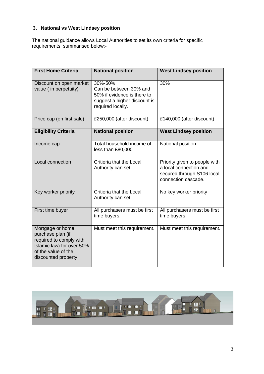### **3. National vs West Lindsey position**

The national guidance allows Local Authorities to set its own criteria for specific requirements, summarised below:-

| <b>First Home Criteria</b>                                                                                                                  | <b>National position</b>                                                                                              | <b>West Lindsey position</b>                                                                                 |
|---------------------------------------------------------------------------------------------------------------------------------------------|-----------------------------------------------------------------------------------------------------------------------|--------------------------------------------------------------------------------------------------------------|
| Discount on open market<br>value (in perpetuity)                                                                                            | 30%-50%<br>Can be between 30% and<br>50% if evidence is there to<br>suggest a higher discount is<br>required locally. | 30%                                                                                                          |
| Price cap (on first sale)                                                                                                                   | £250,000 (after discount)                                                                                             | £140,000 (after discount)                                                                                    |
| <b>Eligibility Criteria</b>                                                                                                                 | <b>National position</b>                                                                                              | <b>West Lindsey position</b>                                                                                 |
| Income cap                                                                                                                                  | Total household income of<br>less than £80,000                                                                        | National position                                                                                            |
| Local connection                                                                                                                            | Critieria that the Local<br>Authority can set                                                                         | Priority given to people with<br>a local connection and<br>secured through S106 local<br>connection cascade. |
| Key worker priority                                                                                                                         | Critieria that the Local<br>Authority can set                                                                         | No key worker priority                                                                                       |
| First time buyer                                                                                                                            | All purchasers must be first<br>time buyers.                                                                          | All purchasers must be first<br>time buyers.                                                                 |
| Mortgage or home<br>purchase plan (if<br>required to comply with<br>Islamic law) for over 50%<br>of the value of the<br>discounted property | Must meet this requirement.                                                                                           | Must meet this requirement.                                                                                  |

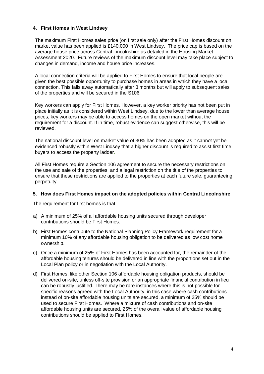#### **4. First Homes in West Lindsey**

The maximum First Homes sales price (on first sale only) after the First Homes discount on market value has been applied is £140,000 in West Lindsey. The price cap is based on the average house price across Central Lincolnshire as detailed in the Housing Market Assessment 2020. Future reviews of the maximum discount level may take place subject to changes in demand, income and house price increases.

A local connection criteria will be applied to First Homes to ensure that local people are given the best possible opportunity to purchase homes in areas in which they have a local connection. This falls away automatically after 3 months but will apply to subsequent sales of the properties and will be secured in the S106.

Key workers can apply for First Homes, However, a key worker priority has not been put in place initially as it is considered within West Lindsey, due to the lower than average house prices, key workers may be able to access homes on the open market without the requirement for a discount. If in time, robust evidence can suggest otherwise, this will be reviewed.

The national discount level on market value of 30% has been adopted as it cannot yet be evidenced robustly within West Lindsey that a higher discount is required to assist first time buyers to access the property ladder.

All First Homes require a Section 106 agreement to secure the necessary restrictions on the use and sale of the properties, and a legal restriction on the title of the properties to ensure that these restrictions are applied to the properties at each future sale, guaranteeing perpetuity.

#### **5. How does First Homes impact on the adopted policies within Central Lincolnshire**

The requirement for first homes is that:

- a) A minimum of 25% of all affordable housing units secured through developer contributions should be First Homes.
- b) First Homes contribute to the National Planning Policy Framework requirement for a minimum 10% of any affordable housing obligation to be delivered as low cost home ownership.
- c) Once a minimum of 25% of First Homes has been accounted for, the remainder of the affordable housing tenures should be delivered in line with the proportions set out in the Local Plan policy or in negotiation with the Local Authority.
- d) First Homes, like other Section 106 affordable housing obligation products, should be delivered on-site, unless off-site provision or an appropriate financial contribution in lieu can be robustly justified. There may be rare instances where this is not possible for specific reasons agreed with the Local Authority, in this case where cash contributions instead of on-site affordable housing units are secured, a minimum of 25% should be used to secure First Homes. Where a mixture of cash contributions and on-site affordable housing units are secured, 25% of the overall value of affordable housing contributions should be applied to First Homes.